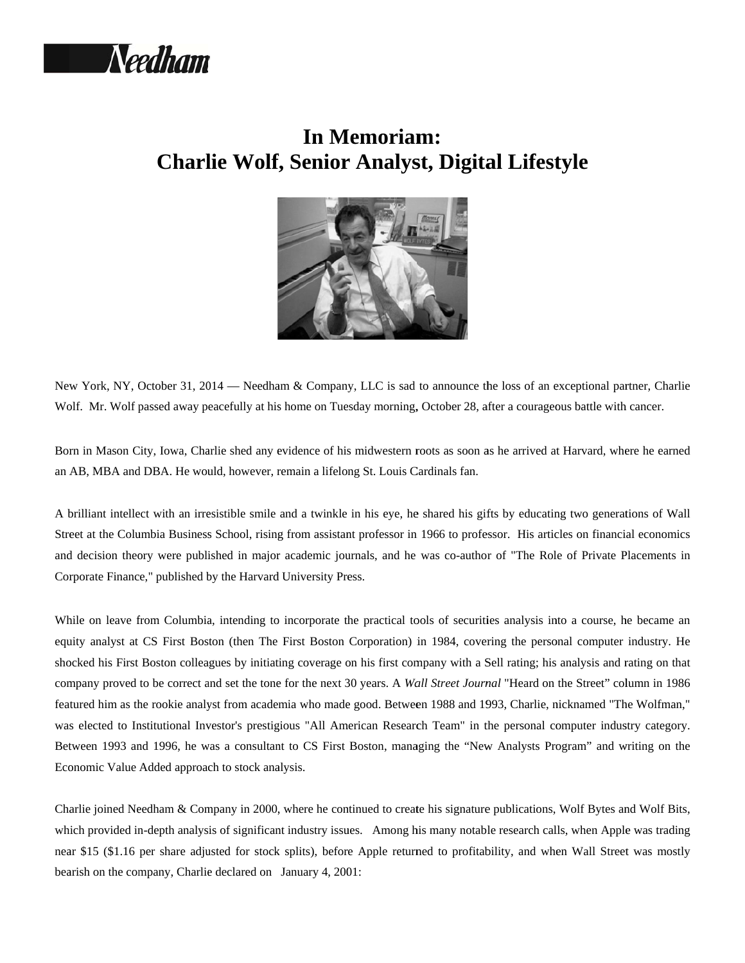

## **In Memoriam: Charlie Wolf, Senior Analyst, Digital Lifestyle**



New York, NY, October 31, 2014 — Needham & Company, LLC is sad to announce the loss of an exceptional partner, Charlie Wolf. Mr. Wolf passed away peacefully at his home on Tuesday morning, October 28, after a courageous battle with cancer.

Born in Mason City, Iowa, Charlie shed any evidence of his midwestern roots as soon as he arrived at Harvard, where he earned an AB, MBA and DBA. He would, however, remain a lifelong St. Louis Cardinals fan.

A brilliant intellect with an irresistible smile and a twinkle in his eye, he shared his gifts by educating two generations of Wall Street at the Columbia Business School, rising from assistant professor in 1966 to professor. His articles on financial economics and decision theory were published in major academic journals, and he was co-author of "The Role of Private Placements in Corporate Finance," published by the Harvard University Press.

While on leave from Columbia, intending to incorporate the practical tools of securities analysis into a course, he became an equity analyst at CS First Boston (then The First Boston Corporation) in 1984, covering the personal computer industry. He shocked his First Boston colleagues by initiating coverage on his first company with a Sell rating; his analysis and rating on that company proved to be correct and set the tone for the next 30 years. A Wall Street Journal "Heard on the Street" column in 1986 featured him as the rookie analyst from academia who made good. Between 1988 and 1993, Charlie, nicknamed "The Wolfman," was elected to Institutional Investor's prestigious "All American Research Team" in the personal computer industry category. Between 1993 and 1996, he was a consultant to CS First Boston, managing the "New Analysts Program" and writing on the Economic Value Added approach to stock analysis.

Charlie joined Needham & Company in 2000, where he continued to create his signature publications, Wolf Bytes and Wolf Bits, which provided in-depth analysis of significant industry issues. Among his many notable research calls, when Apple was trading near \$15 (\$1.16 per share adjusted for stock splits), before Apple returned to profitability, and when Wall Street was mostly bearish on the company, Charlie declared on January 4, 2001: